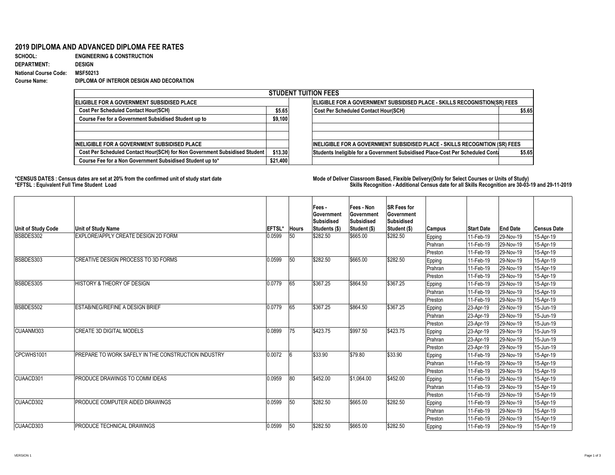## **2019 DIPLOMA AND ADVANCED DIPLOMA FEE RATES**

| <b>SCHOOL:</b>               | <b>ENGINEERING &amp; CONSTRUCTION</b>     |
|------------------------------|-------------------------------------------|
| <b>DEPARTMENT:</b>           | <b>DESIGN</b>                             |
| <b>National Course Code:</b> | <b>MSF50213</b>                           |
| <b>Course Name:</b>          | DIPLOMA OF INTERIOR DESIGN AND DECORATION |

## \*CENSUS DATES : Census dates are set at 20% from the confirmed unit of study start date **Mode of Deliver Classroom Based, Flexible Delivery(Only for Select Courses or Units of Study) \*EFTSL : Equivalent Full Time Student Load Skills Recognition - Additional Census date for all Skills Recognition are 30-03-19 and 29-11-2019**

| <b>STUDENT TUITION FEES</b>                                                |          |                                                                                |        |  |  |  |  |  |
|----------------------------------------------------------------------------|----------|--------------------------------------------------------------------------------|--------|--|--|--|--|--|
| <b>IELIGIBLE FOR A GOVERNMENT SUBSIDISED PLACE</b>                         |          | ELIGIBLE FOR A GOVERNMENT SUBSIDISED PLACE - SKILLS RECOGNISTION(SR) FEES      |        |  |  |  |  |  |
| <b>Cost Per Scheduled Contact Hour(SCH)</b>                                | \$5.65   | <b>Cost Per Scheduled Contact Hour(SCH)</b>                                    | \$5.65 |  |  |  |  |  |
| <b>Course Fee for a Government Subsidised Student up to</b>                | \$9,100  |                                                                                |        |  |  |  |  |  |
|                                                                            |          |                                                                                |        |  |  |  |  |  |
| <b>INELIGIBLE FOR A GOVERNMENT SUBSIDISED PLACE</b>                        |          | INELIGIBLE FOR A GOVERNMENT SUBSIDISED PLACE - SKILLS RECOGNITION (SR) FEES    |        |  |  |  |  |  |
| Cost Per Scheduled Contact Hour(SCH) for Non Government Subsidised Student | \$13.30  | Students Ineligible for a Government Subsidised Place-Cost Per Scheduled Conta | \$5.65 |  |  |  |  |  |
| Course Fee for a Non Government Subsidised Student up to*                  | \$21,400 |                                                                                |        |  |  |  |  |  |

|                    |                                                             |               |       | Fees -<br><b>Government</b><br><b>Subsidised</b> | <b>Fees - Non</b><br><b>Government</b><br>Subsidised | <b>SR Fees for</b><br><b>Government</b><br>Subsidised |                |                          |                 |                    |
|--------------------|-------------------------------------------------------------|---------------|-------|--------------------------------------------------|------------------------------------------------------|-------------------------------------------------------|----------------|--------------------------|-----------------|--------------------|
| Unit of Study Code | <b>Unit of Study Name</b>                                   | <b>EFTSL*</b> | Hours | <b>Students (\$)</b>                             | Student (\$)                                         | <b>Student (\$)</b>                                   | <b>Campus</b>  | <b>Start Date</b>        | <b>End Date</b> | <b>Census Date</b> |
| BSBDES302          | EXPLORE/APPLY CREATE DESIGN 2D FORM                         | 0.0599        | 50    | \$282.50                                         | \$665.00                                             | \$282.50                                              | Epping         | $ 11$ -Feb-19            | $ 29-Nov-19 $   | 15-Apr-19          |
|                    |                                                             |               |       |                                                  |                                                      |                                                       | Prahran        | $11-Feb-19$              | 29-Nov-19       | 15-Apr-19          |
|                    |                                                             |               |       |                                                  |                                                      |                                                       | <b>Preston</b> | $ 11$ -Feb-19            | $ 29-Nov-19 $   | 15-Apr-19          |
| BSBDES303          | <b>CREATIVE DESIGN PROCESS TO 3D FORMS</b>                  | 0.0599        | 50    | \$282.50                                         | \$665.00                                             | \$282.50                                              | Epping         | $11-Feb-19$              | $ 29-Nov-19 $   | 15-Apr-19          |
|                    |                                                             |               |       |                                                  |                                                      |                                                       | Prahran        | 11-Feb-19                | $ 29-Nov-19 $   | 15-Apr-19          |
|                    |                                                             |               |       |                                                  |                                                      |                                                       | Preston        | 11-Feb-19                | 29-Nov-19       | 15-Apr-19          |
| BSBDES305          | <b>HISTORY &amp; THEORY OF DESIGN</b>                       | 0.0779        | 65    | \$367.25                                         | \$864.50                                             | \$367.25                                              | Epping         | 11-Feb-19                | 29-Nov-19       | 15-Apr-19          |
|                    |                                                             |               |       |                                                  |                                                      |                                                       | Prahran        | 11-Feb-19                | 29-Nov-19       | 15-Apr-19          |
|                    |                                                             |               |       |                                                  |                                                      |                                                       | Preston        | 11-Feb-19                | 29-Nov-19       | 15-Apr-19          |
| BSBDES502          | <b>ESTAB/NEG/REFINE A DESIGN BRIEF</b>                      | 0.0779        | 65    | \$367.25                                         | \$864.50                                             | \$367.25                                              | Epping         | $ 23 - Apr-19 $          | 29-Nov-19       | 15-Jun-19          |
|                    |                                                             |               |       |                                                  |                                                      |                                                       | Prahran        | $ 23 - Apr-19 $          | 29-Nov-19       | $15$ -Jun-19       |
|                    |                                                             |               |       |                                                  |                                                      |                                                       | Preston        | $ 23 - Apr-19 $          | 29-Nov-19       | 15-Jun-19          |
| CUAANM303          | <b>CREATE 3D DIGITAL MODELS</b>                             | 0.0899        | 75    | \$423.75                                         | \$997.50                                             | \$423.75                                              | Epping         | $ 23 - Apr-19 $          | $ 29-Nov-19 $   | 15-Jun-19          |
|                    |                                                             |               |       |                                                  |                                                      |                                                       | Prahran        | $ 23 - Apr - 19 $        | $ 29-Nov-19 $   | 15-Jun-19          |
|                    |                                                             |               |       |                                                  |                                                      |                                                       | Preston        | $ 23 - Apr-19 $          | 29-Nov-19       | 15-Jun-19          |
| CPCWHS1001         | <b>IPREPARE TO WORK SAFELY IN THE CONSTRUCTION INDUSTRY</b> | 0.0072        |       | \$33.90                                          | \$79.80                                              | \$33.90                                               | Epping         | 11-Feb-19                | 29-Nov-19       | 15-Apr-19          |
|                    |                                                             |               |       |                                                  |                                                      |                                                       | Prahran        | 11-Feb-19                | 29-Nov-19       | 15-Apr-19          |
|                    |                                                             |               |       |                                                  |                                                      |                                                       | Preston        | 11-Feb-19                | 29-Nov-19       | 15-Apr-19          |
| CUAACD301          | PRODUCE DRAWINGS TO COMM IDEAS                              | 0.0959        | 80    | \$452.00                                         | \$1,064.00                                           | \$452.00                                              | Epping         | 11-Feb-19                | 29-Nov-19       | 15-Apr-19          |
|                    |                                                             |               |       |                                                  |                                                      |                                                       | Prahran        | 11-Feb-19                | $ 29-Nov-19 $   | 15-Apr-19          |
|                    |                                                             |               |       |                                                  |                                                      |                                                       | Preston        | $ 11$ -Feb-19            | $ 29-Nov-19 $   | 15-Apr-19          |
| CUAACD302          | PRODUCE COMPUTER AIDED DRAWINGS                             | 0.0599        | 50    | \$282.50                                         | \$665.00                                             | \$282.50                                              | <b>Epping</b>  | $ 11$ -Feb-19            | $ 29-Nov-19 $   | 15-Apr-19          |
|                    |                                                             |               |       |                                                  |                                                      |                                                       | Prahran        | $ 11$ -Feb-19            | $ 29-Nov-19 $   | 15-Apr-19          |
|                    |                                                             |               |       |                                                  |                                                      |                                                       | Preston        | 11-Feb-19                | $ 29-Nov-19 $   | 15-Apr-19          |
| CUAACD303          | <b>PRODUCE TECHNICAL DRAWINGS</b>                           | 0.0599        | 50    | \$282.50                                         | \$665.00                                             | \$282.50                                              | Epping         | $ 11 - \text{Feb} - 19 $ | 29-Nov-19       | 15-Apr-19          |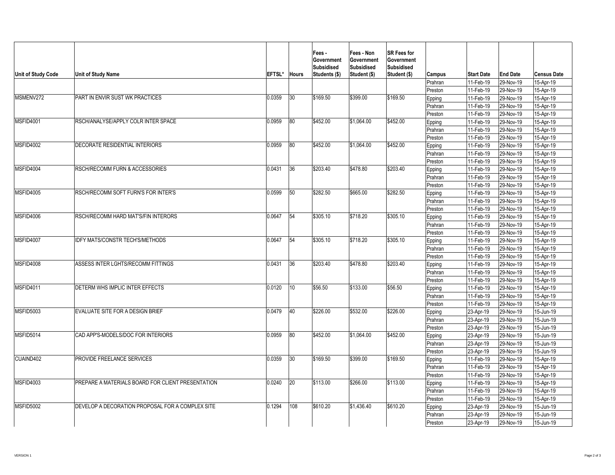| Unit of Study Code | <b>Unit of Study Name</b>                                                  | <b>EFTSL*</b>       | <b>Hours</b> | Fees -<br><b>Government</b><br>Subsidised<br><b>Students (\$)</b> | <b>Fees - Non</b><br><b>Government</b><br>Subsidised<br><b>Student (\$)</b> | <b>SR Fees for</b><br><b>Government</b><br>Subsidised<br><b>Student (\$)</b> | Campus <br>Prahran<br>Preston | <b>Start Date</b><br>11-Feb-19<br>11-Feb-19 | <b>End Date</b><br>$ 29-Nov-19 $<br>$ 29-Nov-19 $ | <b>Census Date</b><br>15-Apr-19<br>15-Apr-19 |
|--------------------|----------------------------------------------------------------------------|---------------------|--------------|-------------------------------------------------------------------|-----------------------------------------------------------------------------|------------------------------------------------------------------------------|-------------------------------|---------------------------------------------|---------------------------------------------------|----------------------------------------------|
| MSMENV272          | <b>PART IN ENVIR SUST WK PRACTICES</b>                                     | 0.0359              | 30           | \$169.50                                                          | \$399.00                                                                    | \$169.50                                                                     | Epping                        | $ 11$ -Feb-19                               | 29-Nov-19                                         | 15-Apr-19                                    |
|                    |                                                                            |                     |              |                                                                   |                                                                             |                                                                              | Prahran                       | 11-Feb-19                                   | 29-Nov-19                                         | 15-Apr-19                                    |
|                    |                                                                            |                     |              |                                                                   |                                                                             |                                                                              | Preston                       | 11-Feb-19                                   | 29-Nov-19                                         | 15-Apr-19                                    |
| MSFID4001          | RSCH/ANALYSE/APPLY COLR INTER SPACE                                        | 0.0959              | 80           | \$452.00                                                          | \$1,064.00                                                                  | \$452.00                                                                     | Epping                        | $ 11$ -Feb-19                               | $ 29-Nov-19 $                                     | 15-Apr-19                                    |
|                    |                                                                            |                     |              |                                                                   |                                                                             |                                                                              | Prahran                       | $ 11$ -Feb-19                               | 29-Nov-19                                         | 15-Apr-19                                    |
|                    |                                                                            |                     |              |                                                                   |                                                                             |                                                                              | Preston                       | 11-Feb-19                                   | $ 29-Nov-19 $                                     | 15-Apr-19                                    |
| MSFID4002          | <b>DECORATE RESIDENTIAL INTERIORS</b>                                      | 0.0959              | 80           | \$452.00                                                          | \$1,064.00                                                                  | \$452.00                                                                     | Epping                        | 11-Feb-19                                   | 29-Nov-19                                         | 15-Apr-19                                    |
|                    |                                                                            |                     |              |                                                                   |                                                                             |                                                                              | Prahran                       | $ 11-Feb-19 $                               | $ 29-Nov-19 $                                     | 15-Apr-19                                    |
|                    |                                                                            |                     |              |                                                                   |                                                                             |                                                                              | Preston                       | 11-Feb-19                                   | 29-Nov-19                                         | 15-Apr-19                                    |
| MSFID4004          | <b>RSCH/RECOMM FURN &amp; ACCESSORIES</b>                                  | 0.0431              | 36           | \$203.40                                                          | \$478.80                                                                    | \$203.40                                                                     |                               |                                             |                                                   |                                              |
|                    |                                                                            |                     |              |                                                                   |                                                                             |                                                                              | Epping                        | $ 11$ -Feb-19                               | 29-Nov-19                                         | 15-Apr-19                                    |
|                    |                                                                            |                     |              |                                                                   |                                                                             |                                                                              | Prahran                       | 11-Feb-19                                   | 29-Nov-19                                         | 15-Apr-19                                    |
| MSFID4005          | <b>RSCH/RECOMM SOFT FURN'S FOR INTER'S</b>                                 | 0.0599              | 50           | \$282.50                                                          | \$665.00                                                                    | \$282.50                                                                     | Preston                       | $ 11-Feb-19 $                               | 29-Nov-19                                         | 15-Apr-19                                    |
|                    |                                                                            |                     |              |                                                                   |                                                                             |                                                                              | Epping                        | $11-Feb-19$                                 | $ 29-Nov-19 $                                     | 15-Apr-19                                    |
|                    |                                                                            |                     |              |                                                                   |                                                                             |                                                                              | Prahran                       | 11-Feb-19                                   | 29-Nov-19                                         | 15-Apr-19                                    |
| MSFID4006          | <b>RSCH/RECOMM HARD MAT'S/FIN INTERORS</b>                                 | 0.0647              |              | \$305.10                                                          | \$718.20                                                                    | \$305.10                                                                     | Preston                       | 11-Feb-19                                   | 29-Nov-19                                         | 15-Apr-19                                    |
|                    |                                                                            |                     | 54           |                                                                   |                                                                             |                                                                              | Epping                        | 11-Feb-19                                   | $ 29-Nov-19 $                                     | 15-Apr-19                                    |
|                    |                                                                            |                     |              |                                                                   |                                                                             |                                                                              | Prahran                       | $ 11-Feb-19 $                               | $ 29-Nov-19 $                                     | 15-Apr-19                                    |
|                    |                                                                            |                     | 54           | \$305.10                                                          | \$718.20                                                                    |                                                                              | Preston                       | 11-Feb-19                                   | $ 29-Nov-19 $                                     | 15-Apr-19                                    |
| MSFID4007          | <b>IDFY MATS/CONSTR TECH'S/METHODS</b>                                     | 0.0647              |              |                                                                   |                                                                             | \$305.10                                                                     | Epping                        | 11-Feb-19                                   | 29-Nov-19                                         | 15-Apr-19                                    |
|                    |                                                                            |                     |              |                                                                   |                                                                             |                                                                              | Prahran                       | 11-Feb-19                                   | $ 29-Nov-19 $                                     | 15-Apr-19                                    |
| MSFID4008          | <b>ASSESS INTER LGHTS/RECOMM FITTINGS</b>                                  | 0.0431              | 36           | \$203.40                                                          | \$478.80                                                                    | \$203.40                                                                     | Preston                       | 11-Feb-19                                   | $ 29-Nov-19 $                                     | 15-Apr-19                                    |
|                    |                                                                            |                     |              |                                                                   |                                                                             |                                                                              | Epping                        | 11-Feb-19                                   | $ 29-Nov-19 $                                     | 15-Apr-19                                    |
|                    |                                                                            |                     |              |                                                                   |                                                                             |                                                                              | Prahran                       | 11-Feb-19                                   | $ 29-Nov-19 $                                     | 15-Apr-19                                    |
| MSFID4011          | DETERM WHS IMPLIC INTER EFFECTS<br><b>EVALUATE SITE FOR A DESIGN BRIEF</b> |                     | 10           | \$56.50<br>\$226.00                                               | \$133.00<br>\$532.00                                                        | \$56.50<br>\$226.00                                                          | Preston                       | 11-Feb-19                                   | $ 29-Nov-19 $                                     | 15-Apr-19                                    |
|                    |                                                                            | 0.0120              |              |                                                                   |                                                                             |                                                                              | Epping                        | 11-Feb-19                                   | $ 29-Nov-19 $                                     | 15-Apr-19                                    |
|                    |                                                                            |                     |              |                                                                   |                                                                             |                                                                              | Prahran                       | $ 11 - \text{Feb} - 19 $                    | $ 29-Nov-19 $                                     | 15-Apr-19                                    |
|                    |                                                                            |                     |              |                                                                   |                                                                             |                                                                              | <b>Preston</b>                | 11-Feb-19                                   | $ 29-Nov-19 $                                     | 15-Apr-19                                    |
| MSFID5003          |                                                                            | 0.0479              | 40           |                                                                   |                                                                             |                                                                              | Epping                        | $ 23 - Apr-19 $                             | $ 29-Nov-19 $                                     | $15$ -Jun-19                                 |
|                    |                                                                            |                     |              |                                                                   |                                                                             |                                                                              | Prahran                       | $ 23 - Apr-19 $                             | $ 29-Nov-19 $                                     | $15$ -Jun-19                                 |
|                    |                                                                            |                     |              |                                                                   |                                                                             |                                                                              | Preston                       | 23-Apr-19                                   | 29-Nov-19                                         | 15-Jun-19                                    |
| MSEID5014          | CAD APP'S-MODELS/DOC FOR INTERIORS                                         | $\boxed{0.0959}$ 80 |              | \$452.00                                                          | $\sqrt{$1,064.00}$                                                          | \$452.00                                                                     | Epping                        | $ 23 - Apr-19 $                             | 29-Nov-19                                         | 15-Jun-19                                    |
|                    |                                                                            |                     |              |                                                                   |                                                                             |                                                                              | Prahran                       | $ 23 - Apr-19 $                             | 29-Nov-19                                         | $15$ -Jun-19                                 |
|                    |                                                                            |                     |              |                                                                   |                                                                             |                                                                              | Preston                       | $ 23 - Apr-19 $                             | 29-Nov-19                                         | $15$ -Jun-19                                 |
| CUAIND402          | <b>PROVIDE FREELANCE SERVICES</b>                                          | 0.0359              | 30           | \$169.50                                                          | \$399.00                                                                    | \$169.50                                                                     | Epping                        | 11-Feb-19                                   | 29-Nov-19                                         | 15-Apr-19                                    |
|                    |                                                                            |                     |              |                                                                   |                                                                             |                                                                              | Prahran                       | 11-Feb-19                                   | $ 29-Nov-19 $                                     | 15-Apr-19                                    |
|                    | PREPARE A MATERIALS BOARD FOR CLIENT PRESENTATION                          |                     | 20           |                                                                   | \$266.00                                                                    |                                                                              | Preston                       | 11-Feb-19                                   | 29-Nov-19                                         | 15-Apr-19                                    |
| MSFID4003          |                                                                            | 0.0240              |              | \$113.00                                                          |                                                                             | \$113.00                                                                     | Epping                        | 11-Feb-19                                   | $ 29-Nov-19 $                                     | 15-Apr-19                                    |
|                    |                                                                            |                     |              |                                                                   |                                                                             |                                                                              | Prahran                       | 11-Feb-19                                   | $ 29-Nov-19 $                                     | 15-Apr-19                                    |
|                    |                                                                            |                     |              |                                                                   |                                                                             |                                                                              | Preston                       | 11-Feb-19                                   | $ 29-Nov-19 $                                     | 15-Apr-19                                    |
| MSFID5002          | DEVELOP A DECORATION PROPOSAL FOR A COMPLEX SITE                           | 0.1294              | 108          | \$610.20                                                          | \$1,436.40                                                                  | \$610.20                                                                     | Epping                        | $ 23 - Apr-19 $                             | $ 29-Nov-19 $                                     | 15-Jun-19                                    |
|                    |                                                                            |                     |              |                                                                   |                                                                             |                                                                              | Prahran                       | $ 23 - Apr-19 $                             | $ 29-Nov-19 $                                     | 15-Jun-19                                    |
|                    |                                                                            |                     |              |                                                                   |                                                                             |                                                                              | Preston                       | $ 23 - Apr-19 $                             | $ 29-Nov-19 $                                     | 15-Jun-19                                    |